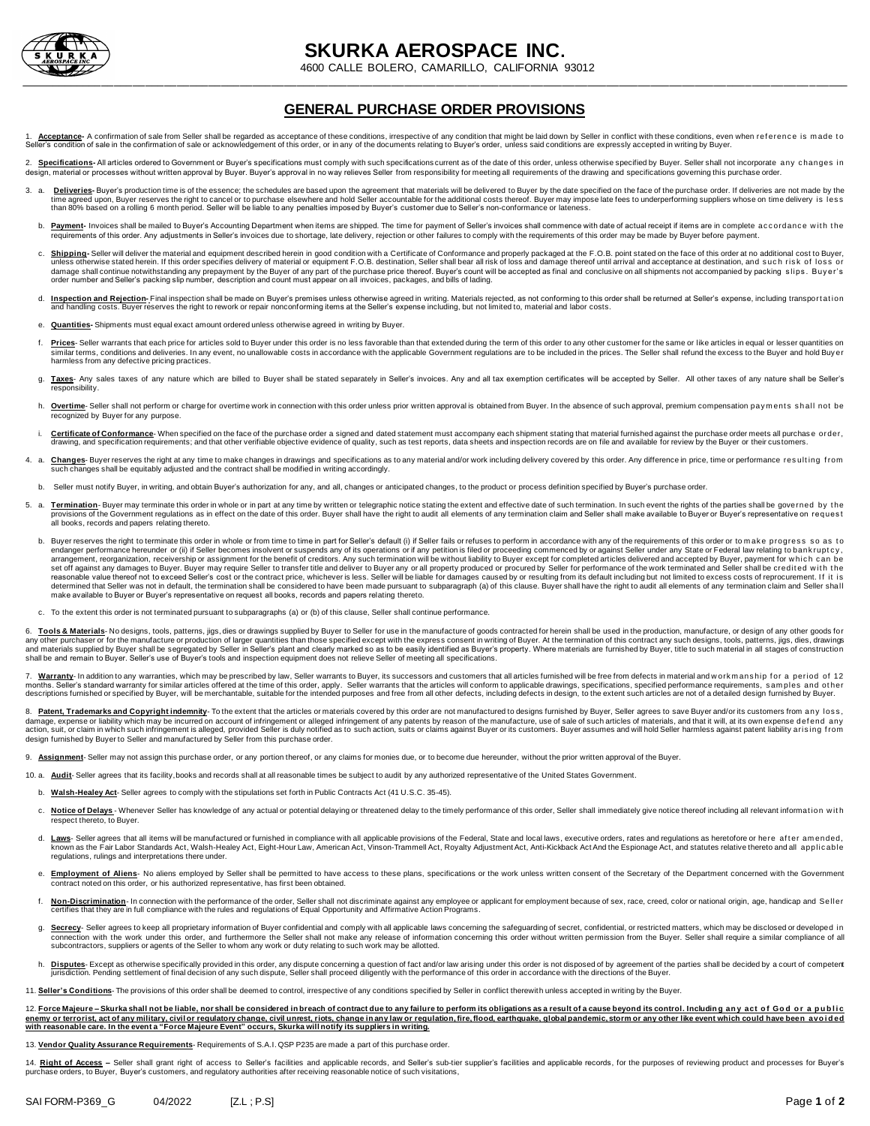

## **SKURKA AEROSPACE INC.**

4600 CALLE BOLERO, CAMARILLO, CALIFORNIA 93012

## **GENERAL PURCHASE ORDER PROVISIONS**

Acceptance- A confirmation of sale from Seller shall be regarded as acceptance of these conditions, irrespective of any condition that might be laid down by Seller in conflict with these conditions, even when reference is on of sale in the confirmation of sale or acknowledgement of this order, or in any of the documents relating to Buyer's order, unless said conditions are expressly accepted in writing by Buyer.

2. Specifications-All articles ordered to Government or Buver's specifications must comply with such specifications current as of the date of this order, unless otherwise specified by Buver. Seller shall not incorporate, a expended to processes without written approval by Buyer. Buyer's approval in no way relieves Seller from responsibility for meeting all requirements of the drawing and specifications governing this purchase order.

- 3. a. Deliveries-Buyer's production time is of the essence; the schedules are based upon the agreement that materials will be delivered to Buyer by the date specified on the face of the purchase order. If deliveries are no than 80% based on a rolling 6 month period. Seller will be liable to any penalties imposed by Buyer's customer due to Seller's non-conformance or lateness.
	- b. Payment-Invoices shall be mailed to Buyer's Accounting Department when items are shipped. The time for payment of Seller's invoices shall commence with date of actual receipt if items are in complete accordance with the requirements of this order. Any adjustments in Seller's invoices due to shortage, late delivery, rejection or other failures to comply with the requirements of this order may be made by Buyer before payment.
	- C. Shipping-Seller will deliver the material and equipment described herein in good condition with a Certificate of Conformance and properly packaged at the F.O.B. point stated on the face of this order at no additional co order number and Seller's packing slip number, description and count must appear on all invoices, packages, and bills of lading.
	- d. Inspection and Rejection-Final inspection shall be made on Buyer's premises unless otherwise agreed in writing. Materials rejected, as not conforming to this order shall be returned at Seller's expense, including transp
	- e. **Quantities-** Shipments must equal exact amount ordered unless otherwise agreed in writing by Buyer.
	- f. Prices-Seller warrants that each price for articles sold to Buyer under this order is no less favorable than that extended during the term of this order to any other customer for the same or like articles in equal or le similar terms, conditions and deliveries. In any event, no unallowable costs in accordance with the applicable Government regulations are to be included in the prices. The Seller shall refund the excess to the Buyer and ho
	- g. Taxes- Any sales taxes of any nature which are billed to Buyer shall be stated separately in Seller's invoices. Any and all tax exemption certificates will be accepted by Seller. All other taxes of any nature shall be S responsibility.
	- h. Overtime- Seller shall not perform or charge for overtime work in connection with this order unless prior written approval is obtained from Buyer. In the absence of such approval, premium compensation pay ments shall no recognized by Buyer for any purpose.
	- i. Certificate of Conformance- When specified on the face of the purchase order a signed and dated statement must accompany each shipment stating that material furnished against the purchase order meets all purchase order,
- 4. a. Changes-Buyer reserves the right at any time to make changes in drawings and specifications as to any material and/or work including delivery covered by this order. Any difference in price, time or performance result
	- Seller must notify Buyer, in writing, and obtain Buyer's authorization for any, and all, changes or anticipated changes, to the product or process definition specified by Buyer's purchase order.
- 5. a. Termination-Buyer may terminate this order in whole or in part at any time by written or telegraphic notice stating the extent and effective date of such termination. In such event the rights of the parties shall be all books, records and papers relating thereto.
	- b. Buyer reserves the right to terminate this order in whole or from time to time in part for Seller's default (i) if Seller fails or refuses to perform in accordance with any of the requirements of this order or to make p endanger performance hereunder or (ii) if Seller becomes insolvent or suspends any of its operations or if any petition is filed or proceeding commenced by or against Seller under any State or Federal law relating to bank set off against any damages to Buyer. Buyer may require Seller to transfer title and deliver to Buyer any or all property produced or procured by Seller for performance of the work terminated and Seller shall be credited w make available to Buyer or Buyer's representative on request all books, records and papers relating thereto.
	- c. To the extent this order is not terminated pursuant to subparagraphs (a) or (b) of this clause, Seller shall continue performance.

6. Tools & Materials- No designs, tools, patterns, jigs, dies or drawings supplied by Buyer to Seller for use in the manufacture of goods contracted for herein shall be used in the production, manufacture, or design of any

7. Warranty- In addition to any warranties, which may be prescribed by law, Seller warrants to Buyer, its successors and customers that all articles furnished will be free from defects in material and work manship for a pe months. Seller's standard warranty for similar articles offered at the time of this order, apply. Seller warrants that the articles will conform to applicable drawings, specifications, specified performance requirements, s

8. Patent, Trademarks and Copyright indemnity- To the extent that the articles or materials covered by this order are not manufactured to designs furnished by Buyer, Seller agrees to save Buyer and/or its customers from an damage, expense or liability which may be incurred on account of infringement or alleged infringement of any patents by reason of the manufacture, use of sale of such articles of materials, and that it will, at its own exp design furnished by Buyer to Seller and manufactured by Seller from this purchase order.

9. **Assignment**- Seller may not assign this purchase order, or any portion thereof, or any claims for monies due, or to become due hereunder, without the prior written approval of the Buyer.

10. a. **Audit**- Seller agrees that its facility,books and records shall at all reasonable times be subject to audit by any authorized representative of the United States Government.

- b. **Walsh-Healey Act** Seller agrees to comply with the stipulations set forth in Public Contracts Act (41 U.S.C. 35-45).
- c. Notice of Delays Whenever Seller has knowledge of any actual or potential delaying or threatened delay to the timely performance of this order, Seller shall immediately give notice thereof including all relevant infor respect thereto, to Buyer.
- d. Laws- Seller agrees that all items will be manufactured or furnished in compliance with all applicable provisions of the Federal, State and local laws, executive orders, rates and requlations as heretofore or here after known as the Fair Labor Standards Act, Walsh-Healey Act, Eight-Hour Law, American Act, Vinson-Trammell Act, Royalty Adjustment Act, Anti-Kickback Act And the Espionage Act, and statutes relative thereto and all applicable<br>
- e. Employment of Aliens- No aliens employed by Seller shall be permitted to have access to these plans, specifications or the work unless written consent of the Secretary of the Department concerned with the Government contract noted on this order, or his authorized representative, has first been obtained.
- f. Non-Discrimination- In connection with the performance of the order, Seller shall not discriminate against any employee or applicant for employment because of sex, race, creed, color or national origin, age, handicap an rtifies that they are in full compliance with the rules and regulations of Equal Opportunity and Affirmative Action Programs.
- g. Secrecy- Seller agrees to keep all proprietary information of Buyer confidential and comply with all applicable laws concerning the safeguarding of secret, confidential, or restricted matters, which may be disclosed or connection with the work under this order, and furthermore the Seller shall not make any release of information concerning this order without written permission from the Buyer. Seller shall require a similar compliance of
- h. Disputes-Except as otherwise specifically provided in this order, any dispute concerning a question of fact and/or law arising under this order is not disposed of by agreement of the parties shall be decided by a court

11. **Seller's Conditions**- The provisions of this order shall be deemed to control, irrespective of any conditions specified by Seller in conflict therewith unless accepted in writing by the Buyer.

12. Force Majeure - Skurka shall not be liable, nor shall be considered in breach of contract due to any failure to perform its obligations as a result of a cause beyond its control. Including any act of God or a public enemy or terrorist, act of any military, civil or regulatory change, civil unrest, riots, change in any law or regulation, fire, flood, earthquake, global pandemic, storm or any other like event which could have been avoid **with reasonable care. In the event a "Force Majeure Event" occurs, Skurka will notify its suppliers in writing.** 

13. **Vendor Quality Assurance Requirements**- Requirements of S.A.I. QSP P235 are made a part of this purchase order.

14. Right of Access - Seller shall grant right of access to Seller's facilities and applicable records, and Seller's sub-tier supplier's facilities and applicable records, for the purposes of reviewing product and processe purchase orders, to Buyer, Buyer's customers, and regulatory authorities after receiving reasonable notice of such visitations,